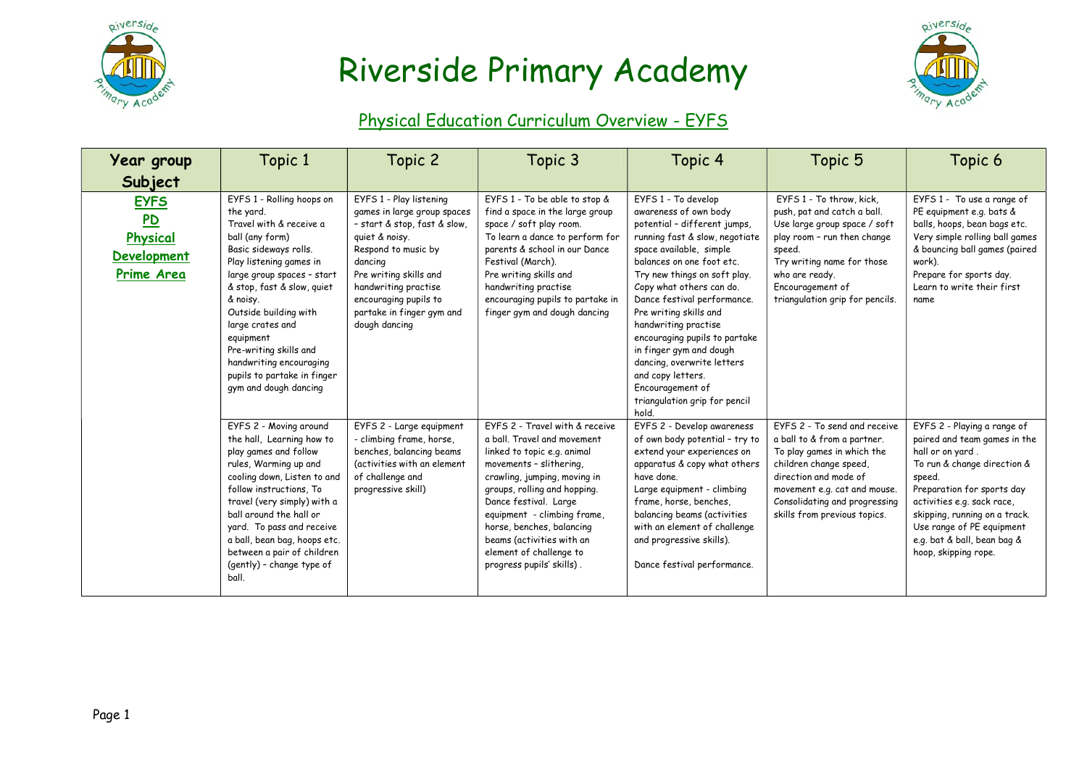

## Riverside Primary Academy



## Physical Education Curriculum Overview - EYFS

| <b>Year group</b>                                                      | Topic 1                                                                                                                                                                                                                                                                                                                                                                                 | Topic 2                                                                                                                                                                                                                                                             | Topic 3                                                                                                                                                                                                                                                                                                                                                           | Topic 4                                                                                                                                                                                                                                                                                                                                                                                                                                                                                          | Topic 5                                                                                                                                                                                                                                       | Topic 6                                                                                                                                                                                                                                                                                                   |
|------------------------------------------------------------------------|-----------------------------------------------------------------------------------------------------------------------------------------------------------------------------------------------------------------------------------------------------------------------------------------------------------------------------------------------------------------------------------------|---------------------------------------------------------------------------------------------------------------------------------------------------------------------------------------------------------------------------------------------------------------------|-------------------------------------------------------------------------------------------------------------------------------------------------------------------------------------------------------------------------------------------------------------------------------------------------------------------------------------------------------------------|--------------------------------------------------------------------------------------------------------------------------------------------------------------------------------------------------------------------------------------------------------------------------------------------------------------------------------------------------------------------------------------------------------------------------------------------------------------------------------------------------|-----------------------------------------------------------------------------------------------------------------------------------------------------------------------------------------------------------------------------------------------|-----------------------------------------------------------------------------------------------------------------------------------------------------------------------------------------------------------------------------------------------------------------------------------------------------------|
| Subject                                                                |                                                                                                                                                                                                                                                                                                                                                                                         |                                                                                                                                                                                                                                                                     |                                                                                                                                                                                                                                                                                                                                                                   |                                                                                                                                                                                                                                                                                                                                                                                                                                                                                                  |                                                                                                                                                                                                                                               |                                                                                                                                                                                                                                                                                                           |
| <b>EYFS</b><br>P <sub>D</sub><br>Physical<br>Development<br>Prime Area | EYFS 1 - Rolling hoops on<br>the yard.<br>Travel with & receive a<br>ball (any form)<br>Basic sideways rolls.<br>Play listening games in<br>large group spaces - start<br>& stop, fast & slow, quiet<br>& noisy.<br>Outside building with<br>large crates and<br>equipment<br>Pre-writing skills and<br>handwriting encouraging<br>pupils to partake in finger<br>gym and dough dancing | EYFS 1 - Play listening<br>games in large group spaces<br>- start & stop, fast & slow,<br>quiet & noisy.<br>Respond to music by<br>dancing<br>Pre writing skills and<br>handwriting practise<br>encouraging pupils to<br>partake in finger gym and<br>dough dancing | EYFS 1 - To be able to stop &<br>find a space in the large group<br>space / soft play room.<br>To learn a dance to perform for<br>parents & school in our Dance<br>Festival (March).<br>Pre writing skills and<br>handwriting practise<br>encouraging pupils to partake in<br>finger gym and dough dancing                                                        | EYFS 1 - To develop<br>awareness of own body<br>potential - different jumps,<br>running fast & slow, negotiate<br>space available, simple<br>balances on one foot etc.<br>Try new things on soft play.<br>Copy what others can do.<br>Dance festival performance.<br>Pre writing skills and<br>handwriting practise<br>encouraging pupils to partake<br>in finger gym and dough<br>dancing, overwrite letters<br>and copy letters.<br>Encouragement of<br>triangulation grip for pencil<br>hold. | EYFS 1 - To throw, kick,<br>push, pat and catch a ball.<br>Use large group space / soft<br>play room - run then change<br>speed.<br>Try writing name for those<br>who are ready.<br>Encouragement of<br>triangulation grip for pencils.       | EYFS 1 - To use a range of<br>PE equipment e.g. bats &<br>balls, hoops, bean bags etc.<br>Very simple rolling ball games<br>& bouncing ball games (paired<br>work).<br>Prepare for sports day.<br>Learn to write their first<br>name                                                                      |
|                                                                        | EYFS 2 - Moving around<br>the hall, Learning how to<br>play games and follow<br>rules, Warming up and<br>cooling down, Listen to and<br>follow instructions, To<br>travel (very simply) with a<br>ball around the hall or<br>yard. To pass and receive<br>a ball, bean bag, hoops etc.<br>between a pair of children<br>(gently) - change type of<br>ball.                              | EYFS 2 - Large equipment<br>- climbing frame, horse,<br>benches, balancing beams<br>(activities with an element<br>of challenge and<br>progressive skill)                                                                                                           | EYFS 2 - Travel with & receive<br>a ball. Travel and movement<br>linked to topic e.g. animal<br>movements - slithering,<br>crawling, jumping, moving in<br>groups, rolling and hopping.<br>Dance festival. Large<br>equipment - climbing frame,<br>horse, benches, balancing<br>beams (activities with an<br>element of challenge to<br>progress pupils' skills). | EYFS 2 - Develop awareness<br>of own body potential - try to<br>extend your experiences on<br>apparatus & copy what others<br>have done.<br>Large equipment - climbing<br>frame, horse, benches,<br>balancing beams (activities<br>with an element of challenge<br>and progressive skills).<br>Dance festival performance.                                                                                                                                                                       | EYFS 2 - To send and receive<br>a ball to & from a partner.<br>To play games in which the<br>children change speed,<br>direction and mode of<br>movement e.g. cat and mouse.<br>Consolidating and progressing<br>skills from previous topics. | EYFS 2 - Playing a range of<br>paired and team games in the<br>hall or on yard.<br>To run & change direction &<br>speed.<br>Preparation for sports day<br>activities e.g. sack race,<br>skipping, running on a track.<br>Use range of PE equipment<br>e.g. bat & ball, bean bag &<br>hoop, skipping rope. |